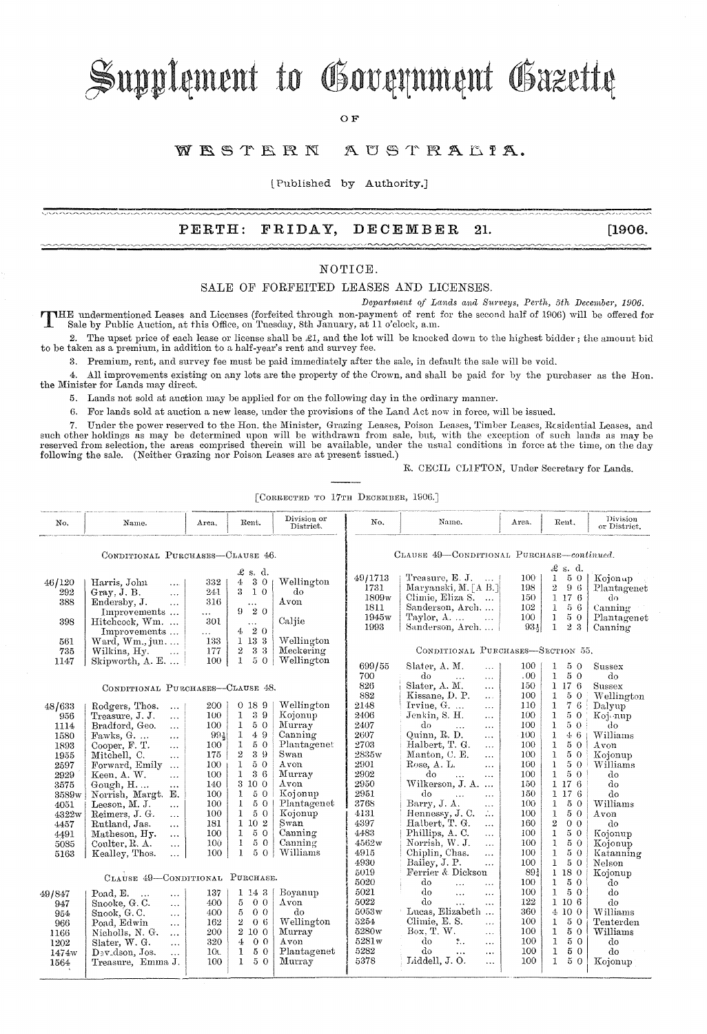# Supplement to Government Gazette

OF

#### WESTERN AUSTRALIA.

l Published by Authority.]

### **PERTH: FRIDAY, DECEMBER 21. [1906.**

#### NOTIOE.

#### SALE OF FORFEITED LEASES AND LICENSES.

*Department of Lands and Surveys, Perth, 5th December, 1906.* 

T HE undermentioned Leases and Licenses (forfeited through non-payment of rent for the second half of 190G) will be offered for Sale by Public Auction, at this Office, on Tuesday, 8th January, at 11 o'clock, a.m.

2. The upset price of each lease or license shall be £1, and the lot will be knocked down to the highest bidder; the amount bid to be taken as a premium, in addition to a half-year's rent and survey fee.

3. Premium, rent, and survey fee must be paid immediately after the sale, in default the sale will be void.

4. All improvements existing on any lots are the property of the Crown, and shall be paid for by the purchaser as the Hon. the Minister for Lands may direct.

5. Lands not sold at auction may be applied for on the following day in the ordinary manner.

G. For lands sold at auction a new lease, under the provisions of the Land Act now in force, will be issued.

7. Under the power reserved to the Hon. the Minister, Grazing Leases, Poison Leases, Timber Leases, Residential Leases, and such other holdings as may be determined upon will be withdrawn from sale, but, with the exception of such lands as may be<br>reserved from selection, the areas comprised therein will be available, under the usual conditions following the sale. (Neither Grazing nor Poison Leases are at present issued.)

#### R. CECIL CLIFTON, Under Secretary for Lands.

 $[CORRECTED TO 17TH DECEMBER, 1906.]$ 

| No.                                                  | Name.                                                                                                                                                                                                          | Area.                                                     | Rent.                                                                                                                                | Division or<br>District.                                             | No.                                                     | Name.                                                                                                                                                                                                                      | Area.                                               | Rent.                                                                                                                              | Division<br>or District.                                          |
|------------------------------------------------------|----------------------------------------------------------------------------------------------------------------------------------------------------------------------------------------------------------------|-----------------------------------------------------------|--------------------------------------------------------------------------------------------------------------------------------------|----------------------------------------------------------------------|---------------------------------------------------------|----------------------------------------------------------------------------------------------------------------------------------------------------------------------------------------------------------------------------|-----------------------------------------------------|------------------------------------------------------------------------------------------------------------------------------------|-------------------------------------------------------------------|
| CONDITIONAL PURCHASES-CLAUSE 46.                     |                                                                                                                                                                                                                |                                                           |                                                                                                                                      |                                                                      | CLAUSE 49-CONDITIONAL PURCHASE-continued.               |                                                                                                                                                                                                                            |                                                     |                                                                                                                                    |                                                                   |
| 46/120<br>292<br>388<br>398                          | Harris, John<br>$\sim 100$<br>Gray, J. B.<br>$\ddotsc$<br>Endersby, J.<br>$\ddotsc$<br>Improvements<br>Hitchcock, Wm.<br>Improvements                                                                          | 332<br>241<br>316<br>$\ddotsc$<br>301<br>.                | $\pounds$ s. d.<br>3 0<br>4<br>3<br>10<br>$\ddotsc$<br>20<br>9.<br>$\ldots$<br>20<br>4                                               | Wellington<br>do<br>Avon<br>Caljie                                   | 49/1713<br>1731<br>1809w<br>1811<br>1945w<br>1993       | Treasure, $E. J.$<br>Maryanski, M. [A B.]<br>Climie, Eliza S.<br>Sanderson, Arch<br>Taylor, $A$<br>$\cdots$<br>Sanderson, Arch                                                                                             | 100 <sup>-</sup><br>198<br>150<br>102<br>100<br>934 | £ s. d.<br>$\mathbf{1}$<br>5 0<br>$\overline{2}$<br>96<br>1 17 6<br>$\mathbf{1}$<br>56<br>$\mathbf{1}$<br>50<br>$\mathbf{I}$<br>23 | Kojonup<br>Plantagenet<br>d٥<br>Canning<br>Plantagenet<br>Canning |
| 561<br>735                                           | Ward, $Wm$ ., jun<br>Wilkins, Hy.<br>$\sim 100$                                                                                                                                                                | 133<br>177                                                | 1 13 3<br>3 3<br>$\overline{2}$                                                                                                      | Wellington<br>Meckering                                              |                                                         | CONDITIONAL PURCHASES-SECTION 55.                                                                                                                                                                                          |                                                     |                                                                                                                                    |                                                                   |
| 1147                                                 | Skipworth, $A. E. \ldots$                                                                                                                                                                                      | 100                                                       | $\mathbf{1}$<br>50                                                                                                                   | Wellington                                                           | 699/55                                                  | Slater, A. M.<br>$\cdots$                                                                                                                                                                                                  | 100                                                 | 50<br>1.                                                                                                                           | Sussex                                                            |
| CONDITIONAL PURCHASES-CLAUSE 48.                     |                                                                                                                                                                                                                |                                                           |                                                                                                                                      |                                                                      | 700<br>826<br>882                                       | $d\sigma$<br>$\ddotsc$<br>$\ddotsc$<br>Slater, A. M.<br>$\ddotsc$<br>Kissane, D. P.<br>$\cdots$                                                                                                                            | .00.<br>150<br>100                                  | $\mathbf{1}$<br>50<br>1176<br>1<br>50                                                                                              | $d\sigma$<br>Sussex<br>Wellington                                 |
| 48/633<br>956<br>1114                                | Rodgers, Thos.<br>$\ddots$<br>Treasure, J. J.<br>$\ddotsc$<br>Bradford, Geo.<br>$\cdots$                                                                                                                       | 200<br>100<br>100                                         | 0189<br>39<br>1<br>1<br>50                                                                                                           | Wellington<br>Kojonup<br>Murray                                      | 2148<br>2406<br>2407                                    | Irvine, $G. \ldots$<br>$\cdots$<br>Jenkin, S. H.<br>$\cdots$<br>do<br>$\dddotsc$<br>$\cdots$                                                                                                                               | 110<br>100<br>100                                   | 76<br>$\mathbf{1}$<br>$\mathbf{1}$<br>50<br>1<br>50                                                                                | Dalyup<br>Koj nup<br>do                                           |
| 1580<br>1893                                         | Fawks, G.<br>$\cdots$<br>Cooper, F. T.<br>$\ldots$                                                                                                                                                             | 991<br>100                                                | 1<br>49<br>$\mathbf 1$<br>50                                                                                                         | Canning<br>Plantagenet                                               | 2607<br>2703                                            | Quinn, R. D.<br>$\cdots$<br>Halbert, T. G.<br>$\cdots$                                                                                                                                                                     | 100<br>100                                          | $\mathbf{1}$<br>46<br>$\mathbf{1}$<br>50                                                                                           | Williams<br>Avon                                                  |
| 1955                                                 | Mitchell, C.<br>$\ddotsc$                                                                                                                                                                                      | 175                                                       | $\rm 2$<br>39                                                                                                                        | Swan                                                                 | 2835w                                                   | Manton, C. E.<br>$\cdots$                                                                                                                                                                                                  | 100                                                 | 50<br>1                                                                                                                            | Kojonup                                                           |
| 2597<br>2929                                         | Forward, Emily<br>$\ddotsc$<br>Keen, A. W.<br>$\ddotsc$                                                                                                                                                        | 100<br>100                                                | 50<br>1<br>$\mathbf 1$<br>36                                                                                                         | Avon<br>Murray                                                       | 2901<br>2902                                            | Rose, A. L.<br>$\cdots$<br>do<br>$\cdots$<br>$\dddotsc$                                                                                                                                                                    | 100<br>100                                          | 50<br>$\mathbf{1}$<br>$\mathbf{1}$<br>50                                                                                           | Williams<br>do                                                    |
| 3575<br>3589w                                        | Gough, $H$<br>$\cdots$<br>Norrish, Margt.<br>Е.                                                                                                                                                                | 140<br>100                                                | $\mathbf{R}$<br>10 <sub>0</sub><br>1<br>50                                                                                           | Avon<br>Kojonup                                                      | 2950<br>2951                                            | Wilkerson, J. A.<br>$\ddotsc$<br>do<br>$\ddotsc$<br>$\cdots$                                                                                                                                                               | 150<br>150                                          | 1176<br>1 17 6                                                                                                                     | do<br>do                                                          |
| 4051                                                 | Leeson, M. J.<br>$\cdots$<br>Reimers, J. G.                                                                                                                                                                    | 100<br>100                                                | 50<br>$\mathbf{I}$<br>$\mathbf{1}$<br>5 0                                                                                            | Plantagenet<br>Kojonup                                               | 3768<br>4131                                            | Barry, J. A.<br>$\cdots$<br>Hennessy, J.C.<br>$\mathbb{Z}_+$                                                                                                                                                               | 100<br>100                                          | 50<br>$\mathbf{1}$<br>50<br>$\mathbf{1}$                                                                                           | Williams<br>Avon                                                  |
| 4322w<br>4457                                        | $\ddotsc$<br>Rutland, Jas.<br>$\cdots$                                                                                                                                                                         | 181                                                       | 1 10 2                                                                                                                               | Swan                                                                 | 4397                                                    | Halbert, T. G.<br>$\cdots$                                                                                                                                                                                                 | 160                                                 | $\overline{2}$<br>0 <sub>0</sub>                                                                                                   | do                                                                |
| 4491<br>5085                                         | Matheson, Hy.<br>$\cdots$<br>Coulter, R. A.<br>$\ddotsc$                                                                                                                                                       | 100<br>100                                                | $\mathbf{1}$<br>50<br>50<br>1                                                                                                        | Canning<br>Canning                                                   | 4483<br>4562w<br>4915                                   | Phillips, A.C.<br>$\ddotsc$<br>Norrish, W. J.<br>$\ldots$                                                                                                                                                                  | 100<br>100                                          | 1<br>50<br>$\mathbf{I}$<br>50                                                                                                      | Kojonup<br>Kojonup                                                |
| 5163                                                 | Kealley, Thos.<br>$\cdots$                                                                                                                                                                                     | 100                                                       | 1<br>50                                                                                                                              | Williams                                                             | 4930<br>5019                                            | Chiplin, Chas.<br>$\cdots$<br>Bailey, J. P.<br>$\ldots$<br>Ferrier & Dickson                                                                                                                                               | 100<br>100<br>891                                   | $5\,$ $0\,$<br>$\mathbf{1}$<br>$\mathbf{1}$<br>50<br>1 18 0                                                                        | Katanning<br>Nelson                                               |
| CLAUSE 49-CONDITIONAL PURCHASE.                      |                                                                                                                                                                                                                |                                                           |                                                                                                                                      |                                                                      | 5020                                                    | do<br>$\ddotsc$<br>$\cdots$                                                                                                                                                                                                | 100                                                 | 50<br>$\mathbf{1}$                                                                                                                 | Kojonup<br>do                                                     |
| 49/847<br>947<br>954<br>966<br>1166<br>1202<br>1474w | Poad, E.<br>$\ldots$<br>$\ddotsc$<br>Snooke, G.C.<br>$\cdots$<br>Snook, G.C.<br>$\cdots$<br>Poad, Edwin<br>$\cdots$<br>Nicholls, N. G.<br>$\cdots$<br>Slater, W. G.<br>$\cdots$<br>Davidson, Jos.<br>$\ddotsc$ | 137<br>400<br>400<br>162<br>200<br>320<br>10 <sub>0</sub> | 1143<br>5<br>0 <sub>0</sub><br>5<br>0 <sub>0</sub><br>2<br>06<br>$\overline{2}$<br>10 0<br>0 <sub>0</sub><br>4<br>50<br>$\mathbf{1}$ | Boyanup<br>Avon<br>do<br>Wellington<br>Murray<br>Avon<br>Plantagenet | 5021<br>5022<br>5053w<br>5254<br>5280w<br>5281w<br>5282 | do<br>$\ddotsc$<br>$\cdots$<br>do<br>$\ddotsc$<br>$\cdots$<br>Lucas, Elizabeth<br>Climie, E.S.<br>$\ddotsc$<br>Box, T, W.<br>$\ddotsc$<br>do<br>$\mathcal{L}_{\mathbf{r}}$<br>$\cdots$<br>do<br>$\ddotsc$<br>$\sim$ $\sim$ | 100<br>122<br>360<br>100<br>100<br>100<br>100       | $\mathbf{1}$<br>50<br>1106<br>4 10 0<br>$\mathbf{1}$<br>50<br>50<br>$\mathbf{1}$<br>$\mathbf{1}$<br>50<br>50<br>$\mathbf{1}$       | do<br>do<br>Williams<br>Tenterden<br>Williams<br>do<br>do         |
| 1564                                                 | Treasure, Emma J.                                                                                                                                                                                              | 100                                                       | $\mathbf{1}$<br>50                                                                                                                   | Murray                                                               | 5378                                                    | Liddell, J.O.<br>$\ddotsc$                                                                                                                                                                                                 | 100                                                 | $\mathbf{I}$<br>50                                                                                                                 | Kojonup                                                           |